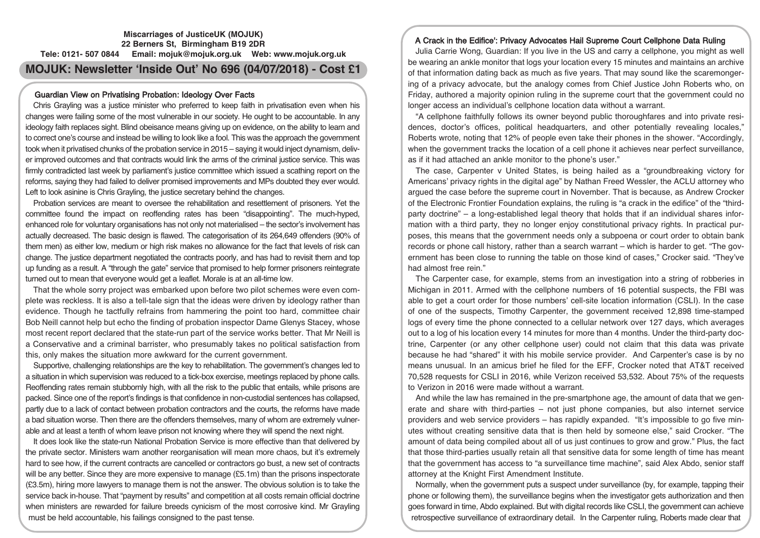# **Miscarriages of JusticeUK (MOJUK) 22 Berners St, Birmingham B19 2DR Tele: 0121- 507 0844 Email: mojuk@mojuk.org.uk Web: www.mojuk.org.uk MOJUK: Newsletter 'Inside Out' No 696 (04/07/2018) - Cost £1**

# Guardian View on Privatising Probation: Ideology Over Facts

Chris Grayling was a justice minister who preferred to keep faith in privatisation even when his changes were failing some of the most vulnerable in our society. He ought to be accountable. In any ideology faith replaces sight. Blind obeisance means giving up on evidence, on the ability to learn and to correct one's course and instead be willing to look like a fool. This was the approach the government took when it privatised chunks of the probation service in 2015 – saying it would inject dynamism, deliver improved outcomes and that contracts would link the arms of the criminal justice service. This was firmly contradicted last week by parliament's justice committee which issued a scathing report on the reforms, saying they had failed to deliver promised improvements and MPs doubted they ever would. Left to look asinine is Chris Grayling, the justice secretary behind the changes.

Probation services are meant to oversee the rehabilitation and resettlement of prisoners. Yet the committee found the impact on reoffending rates has been "disappointing". The much-hyped, enhanced role for voluntary organisations has not only not materialised – the sector's involvement has actually decreased. The basic design is flawed. The categorisation of its 264,649 offenders (90% of them men) as either low, medium or high risk makes no allowance for the fact that levels of risk can change. The justice department negotiated the contracts poorly, and has had to revisit them and top up funding as a result. A "through the gate" service that promised to help former prisoners reintegrate turned out to mean that everyone would get a leaflet. Morale is at an all-time low.

That the whole sorry project was embarked upon before two pilot schemes were even complete was reckless. It is also a tell-tale sign that the ideas were driven by ideology rather than evidence. Though he tactfully refrains from hammering the point too hard, committee chair Bob Neill cannot help but echo the finding of probation inspector Dame Glenys Stacey, whose most recent report declared that the state-run part of the service works better. That Mr Neill is a Conservative and a criminal barrister, who presumably takes no political satisfaction from this, only makes the situation more awkward for the current government.

Supportive, challenging relationships are the key to rehabilitation. The government's changes led to a situation in which supervision was reduced to a tick-box exercise, meetings replaced by phone calls. Reoffending rates remain stubbornly high, with all the risk to the public that entails, while prisons are packed. Since one of the report's findings is that confidence in non-custodial sentences has collapsed, partly due to a lack of contact between probation contractors and the courts, the reforms have made a bad situation worse. Then there are the offenders themselves, many of whom are extremely vulnerable and at least a tenth of whom leave prison not knowing where they will spend the next night.

It does look like the state-run National Probation Service is more effective than that delivered by the private sector. Ministers warn another reorganisation will mean more chaos, but it's extremely hard to see how, if the current contracts are cancelled or contractors go bust, a new set of contracts will be any better. Since they are more expensive to manage (£5.1m) than the prisons inspectorate (£3.5m), hiring more lawyers to manage them is not the answer. The obvious solution is to take the service back in-house. That "payment by results" and competition at all costs remain official doctrine when ministers are rewarded for failure breeds cynicism of the most corrosive kind. Mr Grayling must be held accountable, his failings consigned to the past tense.

# A Crack in the Edifice': Privacy Advocates Hail Supreme Court Cellphone Data Ruling

Julia Carrie Wong, Guardian: If you live in the US and carry a cellphone, you might as well be wearing an ankle monitor that logs your location every 15 minutes and maintains an archive of that information dating back as much as five years. That may sound like the scaremongering of a privacy advocate, but the analogy comes from Chief Justice John Roberts who, on Friday, authored a majority opinion ruling in the supreme court that the government could no longer access an individual's cellphone location data without a warrant.

"A cellphone faithfully follows its owner beyond public thoroughfares and into private residences, doctor's offices, political headquarters, and other potentially revealing locales," Roberts wrote, noting that 12% of people even take their phones in the shower. "Accordingly, when the government tracks the location of a cell phone it achieves near perfect surveillance, as if it had attached an ankle monitor to the phone's user."

The case, Carpenter v United States, is being hailed as a "groundbreaking victory for Americans' privacy rights in the digital age" by Nathan Freed Wessler, the ACLU attorney who argued the case before the supreme court in November. That is because, as Andrew Crocker of the Electronic Frontier Foundation explains, the ruling is "a crack in the edifice" of the "thirdparty doctrine" – a long-established legal theory that holds that if an individual shares information with a third party, they no longer enjoy constitutional privacy rights. In practical purposes, this means that the government needs only a subpoena or court order to obtain bank records or phone call history, rather than a search warrant – which is harder to get. "The government has been close to running the table on those kind of cases," Crocker said. "They've had almost free rein."

The Carpenter case, for example, stems from an investigation into a string of robberies in Michigan in 2011. Armed with the cellphone numbers of 16 potential suspects, the FBI was able to get a court order for those numbers' cell-site location information (CSLI). In the case of one of the suspects, Timothy Carpenter, the government received 12,898 time-stamped logs of every time the phone connected to a cellular network over 127 days, which averages out to a log of his location every 14 minutes for more than 4 months. Under the third-party doctrine, Carpenter (or any other cellphone user) could not claim that this data was private because he had "shared" it with his mobile service provider. And Carpenter's case is by no means unusual. In an amicus brief he filed for the EFF, Crocker noted that AT&T received 70,528 requests for CSLI in 2016, while Verizon received 53,532. About 75% of the requests to Verizon in 2016 were made without a warrant.

And while the law has remained in the pre-smartphone age, the amount of data that we generate and share with third-parties – not just phone companies, but also internet service providers and web service providers – has rapidly expanded. "It's impossible to go five minutes without creating sensitive data that is then held by someone else," said Crocker. "The amount of data being compiled about all of us just continues to grow and grow." Plus, the fact that those third-parties usually retain all that sensitive data for some length of time has meant that the government has access to "a surveillance time machine", said Alex Abdo, senior staff attorney at the Knight First Amendment Institute.

Normally, when the government puts a suspect under surveillance (by, for example, tapping their phone or following them), the surveillance begins when the investigator gets authorization and then goes forward in time, Abdo explained. But with digital records like CSLI, the government can achieve retrospective surveillance of extraordinary detail. In the Carpenter ruling, Roberts made clear that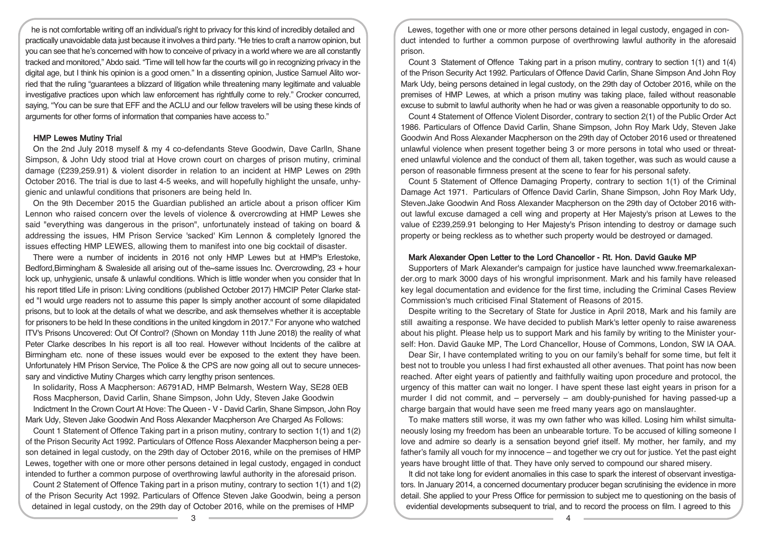he is not comfortable writing off an individual's right to privacy for this kind of incredibly detailed and practically unavoidable data just because it involves a third party. "He tries to craft a narrow opinion, but you can see that he's concerned with how to conceive of privacy in a world where we are all constantly tracked and monitored," Abdo said. "Time will tell how far the courts will go in recognizing privacy in the digital age, but I think his opinion is a good omen." In a dissenting opinion, Justice Samuel Alito worried that the ruling "guarantees a blizzard of litigation while threatening many legitimate and valuable investigative practices upon which law enforcement has rightfully come to rely." Crocker concurred, saying, "You can be sure that EFF and the ACLU and our fellow travelers will be using these kinds of arguments for other forms of information that companies have access to."

#### HMP Lewes Mutiny Trial

On the 2nd July 2018 myself & my 4 co-defendants Steve Goodwin, Dave Carlln, Shane Simpson, & John Udy stood trial at Hove crown court on charges of prison mutiny, criminal damage (£239,259.91) & violent disorder in relation to an incident at HMP Lewes on 29th October 2016. The trial is due to last 4-5 weeks, and will hopefully highlight the unsafe, unhygienic and unlawful conditions that prisoners are being held In.

On the 9th December 2015 the Guardian published an article about a prison officer Kim Lennon who raised concern over the levels of violence & overcrowding at HMP Lewes she said "everything was dangerous in the prison", unfortunately instead of taking on board & addressing the issues, HM Prison Service 'sacked' Kim Lennon & completely Ignored the issues effecting HMP LEWES, allowing them to manifest into one big cocktail of disaster.

There were a number of incidents in 2016 not only HMP Lewes but at HMP's Erlestoke, Bedford,Birmingham & Swaleside all arising out of the~same issues Inc. Overcrowding, 23 + hour lock up, unhygienic, unsafe & unlawful conditions. Which is little wonder when you consider that In his report titled Life in prison: Living conditions (published October 2017) HMCIP Peter Clarke stated "I would urge readers not to assume this paper Is simply another account of some dilapidated prisons, but to look at the details of what we describe, and ask themselves whether it is acceptable for prisoners to be held In these conditions in the united kingdom in 2017." For anyone who watched ITV's Prisons Uncovered: Out Of Control? (Shown on Monday 11th June 2018) the reality of what Peter Clarke describes In his report is all too real. However without Incidents of the calibre at Birmingham etc. none of these issues would ever be exposed to the extent they have been. Unfortunately HM Prison Service, The Police & the CPS are now going all out to secure unnecessary and vindictive Mutiny Charges which carry lengthy prison sentences.

In solidarity, Ross A Macpherson: A6791AD, HMP Belmarsh, Western Way, SE28 0EB Ross Macpherson, David Carlin, Shane Simpson, John Udy, Steven Jake Goodwin Indictment In the Crown Court At Hove: The Queen - V - David Carlin, Shane Simpson, John Roy Mark Udy, Steven Jake Goodwin And Ross Alexander Macpherson Are Charged As Follows:

Count 1 Statement of Offence Taking part in a prison mutiny, contrary to section 1(1) and 1(2) of the Prison Security Act 1992. Particulars of Offence Ross Alexander Macpherson being a person detained in legal custody, on the 29th day of October 2016, while on the premises of HMP Lewes, together with one or more other persons detained in legal custody, engaged in conduct intended to further a common purpose of overthrowing lawful authority in the aforesaid prison.

Count 2 Statement of Offence Taking part in a prison mutiny, contrary to section 1(1) and 1(2) of the Prison Security Act 1992. Particulars of Offence Steven Jake Goodwin, being a person detained in legal custody, on the 29th day of October 2016, while on the premises of HMP

Lewes, together with one or more other persons detained in legal custody, engaged in conduct intended to further a common purpose of overthrowing lawful authority in the aforesaid prison.

Count 3 Statement of Offence Taking part in a prison mutiny, contrary to section 1(1) and 1(4) of the Prison Security Act 1992. Particulars of Offence David Carlin, Shane Simpson And John Roy Mark Udy, being persons detained in legal custody, on the 29th day of October 2016, while on the premises of HMP Lewes, at which a prison mutiny was taking place, failed without reasonable excuse to submit to lawful authority when he had or was given a reasonable opportunity to do so.

Count 4 Statement of Offence Violent Disorder, contrary to section 2(1) of the Public Order Act 1986. Particulars of Offence David Carlin, Shane Simpson, John Roy Mark Udy, Steven Jake Goodwin And Ross Alexander Macpherson on the 29th day of October 2016 used or threatened unlawful violence when present together being 3 or more persons in total who used or threatened unlawful violence and the conduct of them all, taken together, was such as would cause a person of reasonable firmness present at the scene to fear for his personal safety.

Count 5 Statement of Offence Damaging Property, contrary to section 1(1) of the Criminal Damage Act 1971. Particulars of Offence David Carlin, Shane Simpson, John Roy Mark Udy, Steven.Jake Goodwin And Ross Alexander Macpherson on the 29th day of October 2016 without lawful excuse damaged a cell wing and property at Her Majesty's prison at Lewes to the value of £239,259.91 belonging to Her Majesty's Prison intending to destroy or damage such property or being reckless as to whether such property would be destroyed or damaged.

#### Mark Alexander Open Letter to the Lord Chancellor - Rt. Hon. David Gauke MP

Supporters of Mark Alexander's campaign for justice have launched www.freemarkalexander.org to mark 3000 days of his wrongful imprisonment. Mark and his family have released key legal documentation and evidence for the first time, including the Criminal Cases Review Commission's much criticised Final Statement of Reasons of 2015.

Despite writing to the Secretary of State for Justice in April 2018, Mark and his family are still awaiting a response. We have decided to publish Mark's letter openly to raise awareness about his plight. Please help us to support Mark and his family by writing to the Minister yourself: Hon. David Gauke MP, The Lord Chancellor, House of Commons, London, SW lA OAA.

Dear Sir, I have contemplated writing to you on our family's behalf for some time, but felt it best not to trouble you unless I had first exhausted all other avenues. That point has now been reached. After eight years of patiently and faithfully waiting upon procedure and protocol, the urgency of this matter can wait no longer. I have spent these last eight years in prison for a murder I did not commit, and – perversely – am doubly-punished for having passed-up a charge bargain that would have seen me freed many years ago on manslaughter.

To make matters still worse, it was my own father who was killed. Losing him whilst simultaneously losing my freedom has been an unbearable torture. To be accused of killing someone I love and admire so dearly is a sensation beyond grief itself. My mother, her family, and my father's family all vouch for my innocence – and together we cry out for justice. Yet the past eight years have brought little of that. They have only served to compound our shared misery.

It did not take long for evident anomalies in this case to spark the interest of observant investigators. In January 2014, a concerned documentary producer began scrutinising the evidence in more detail. She applied to your Press Office for permission to subject me to questioning on the basis of evidential developments subsequent to trial, and to record the process on film. I agreed to this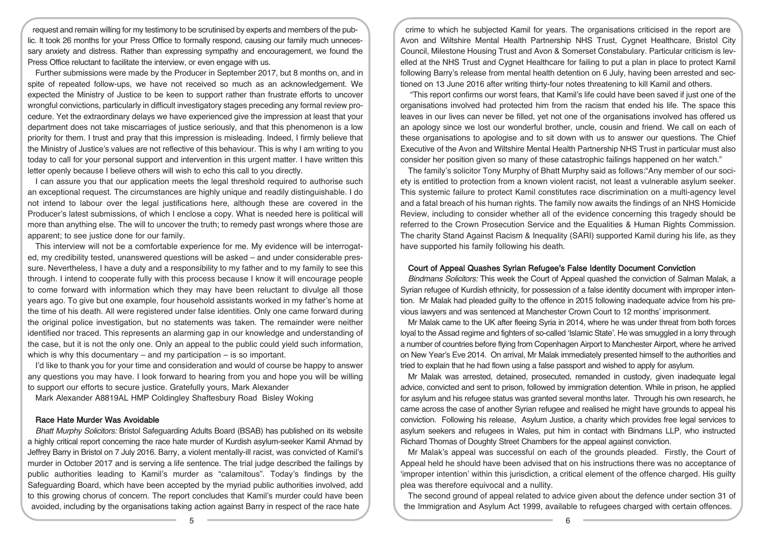request and remain willing for my testimony to be scrutinised by experts and members of the public. It took 26 months for your Press Office to formally respond, causing our family much unnecessary anxiety and distress. Rather than expressing sympathy and encouragement, we found the Press Office reluctant to facilitate the interview, or even engage with us.

Further submissions were made by the Producer in September 2017, but 8 months on, and in spite of repeated follow-ups, we have not received so much as an acknowledgement. We expected the Ministry of Justice to be keen to support rather than frustrate efforts to uncover wrongful convictions, particularly in difficult investigatory stages preceding any formal review procedure. Yet the extraordinary delays we have experienced give the impression at least that your department does not take miscarriages of justice seriously, and that this phenomenon is a low priority for them. I trust and pray that this impression is misleading. Indeed, I firmly believe that the Ministry of Justice's values are not reflective of this behaviour. This is why I am writing to you today to call for your personal support and intervention in this urgent matter. I have written this letter openly because I believe others will wish to echo this call to you directly.

I can assure you that our application meets the legal threshold required to authorise such an exceptional request. The circumstances are highly unique and readily distinguishable. I do not intend to labour over the legal justifications here, although these are covered in the Producer's latest submissions, of which I enclose a copy. What is needed here is political will more than anything else. The will to uncover the truth; to remedy past wrongs where those are apparent; to see justice done for our family.

This interview will not be a comfortable experience for me. My evidence will be interrogated, my credibility tested, unanswered questions will be asked – and under considerable pressure. Nevertheless, I have a duty and a responsibility to my father and to my family to see this through. I intend to cooperate fully with this process because I know it will encourage people to come forward with information which they may have been reluctant to divulge all those years ago. To give but one example, four household assistants worked in my father's home at the time of his death. All were registered under false identities. Only one came forward during the original police investigation, but no statements was taken. The remainder were neither identified nor traced. This represents an alarming gap in our knowledge and understanding of the case, but it is not the only one. Only an appeal to the public could yield such information, which is why this documentary – and my participation – is so important.

I'd like to thank you for your time and consideration and would of course be happy to answer any questions you may have. I look forward to hearing from you and hope you will be willing to support our efforts to secure justice. Gratefully yours, Mark Alexander

Mark Alexander A8819AL HMP Coldingley Shaftesbury Road Bisley Woking

# Race Hate Murder Was Avoidable

Bhatt Murphy Solicitors: Bristol Safeguarding Adults Board (BSAB) has published on its website a highly critical report concerning the race hate murder of Kurdish asylum-seeker Kamil Ahmad by Jeffrey Barry in Bristol on 7 July 2016. Barry, a violent mentally-ill racist, was convicted of Kamil's murder in October 2017 and is serving a life sentence. The trial judge described the failings by public authorities leading to Kamil's murder as "calamitous". Today's findings by the Safeguarding Board, which have been accepted by the myriad public authorities involved, add to this growing chorus of concern. The report concludes that Kamil's murder could have been avoided, including by the organisations taking action against Barry in respect of the race hate

crime to which he subjected Kamil for years. The organisations criticised in the report are Avon and Wiltshire Mental Health Partnership NHS Trust, Cygnet Healthcare, Bristol City Council, Milestone Housing Trust and Avon & Somerset Constabulary. Particular criticism is levelled at the NHS Trust and Cygnet Healthcare for failing to put a plan in place to protect Kamil following Barry's release from mental health detention on 6 July, having been arrested and sectioned on 13 June 2016 after writing thirty-four notes threatening to kill Kamil and others.

"This report confirms our worst fears, that Kamil's life could have been saved if just one of the organisations involved had protected him from the racism that ended his life. The space this leaves in our lives can never be filled, yet not one of the organisations involved has offered us an apology since we lost our wonderful brother, uncle, cousin and friend. We call on each of these organisations to apologise and to sit down with us to answer our questions. The Chief Executive of the Avon and Wiltshire Mental Health Partnership NHS Trust in particular must also consider her position given so many of these catastrophic failings happened on her watch."

The family's solicitor Tony Murphy of Bhatt Murphy said as follows:"Any member of our society is entitled to protection from a known violent racist, not least a vulnerable asylum seeker. This systemic failure to protect Kamil constitutes race discrimination on a multi-agency level and a fatal breach of his human rights. The family now awaits the findings of an NHS Homicide Review, including to consider whether all of the evidence concerning this tragedy should be referred to the Crown Prosecution Service and the Equalities & Human Rights Commission. The charity Stand Against Racism & Inequality (SARI) supported Kamil during his life, as they have supported his family following his death.

#### Court of Appeal Quashes Syrian Refugee's False Identity Document Conviction

Bindmans Solicitors: This week the Court of Appeal quashed the conviction of Salman Malak, a Syrian refugee of Kurdish ethnicity, for possession of a false identity document with improper intention. Mr Malak had pleaded guilty to the offence in 2015 following inadequate advice from his previous lawyers and was sentenced at Manchester Crown Court to 12 months' imprisonment.

Mr Malak came to the UK after fleeing Syria in 2014, where he was under threat from both forces loyal to the Assad regime and fighters of so-called 'Islamic State'. He was smuggled in a lorry through a number of countries before flying from Copenhagen Airport to Manchester Airport, where he arrived on New Year's Eve 2014. On arrival, Mr Malak immediately presented himself to the authorities and tried to explain that he had flown using a false passport and wished to apply for asylum.

Mr Malak was arrested, detained, prosecuted, remanded in custody, given inadequate legal advice, convicted and sent to prison, followed by immigration detention. While in prison, he applied for asylum and his refugee status was granted several months later. Through his own research, he came across the case of another Syrian refugee and realised he might have grounds to appeal his conviction. Following his release, Asylum Justice, a charity which provides free legal services to asylum seekers and refugees in Wales, put him in contact with Bindmans LLP, who instructed Richard Thomas of Doughty Street Chambers for the appeal against conviction.

Mr Malak's appeal was successful on each of the grounds pleaded. Firstly, the Court of Appeal held he should have been advised that on his instructions there was no acceptance of 'improper intention' within this jurisdiction, a critical element of the offence charged. His guilty plea was therefore equivocal and a nullity.

The second ground of appeal related to advice given about the defence under section 31 of the Immigration and Asylum Act 1999, available to refugees charged with certain offences.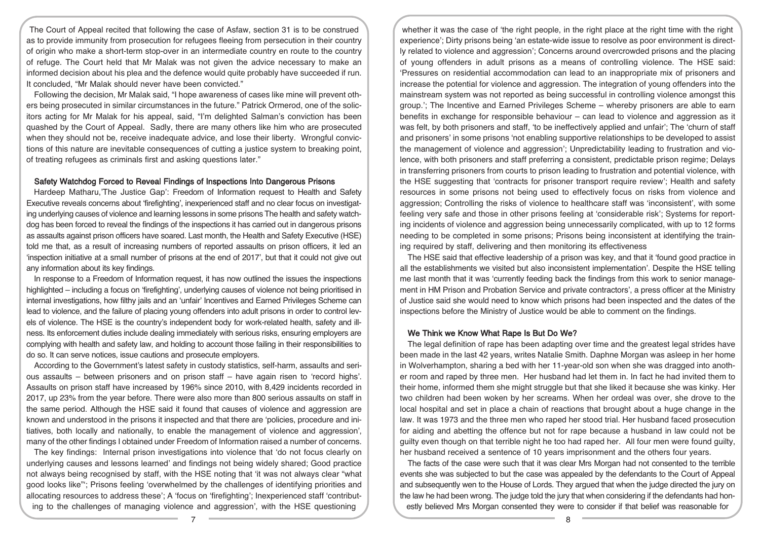The Court of Appeal recited that following the case of Asfaw, section 31 is to be construed as to provide immunity from prosecution for refugees fleeing from persecution in their country of origin who make a short-term stop-over in an intermediate country en route to the country of refuge. The Court held that Mr Malak was not given the advice necessary to make an informed decision about his plea and the defence would quite probably have succeeded if run. It concluded, "Mr Malak should never have been convicted."

Following the decision, Mr Malak said, "I hope awareness of cases like mine will prevent others being prosecuted in similar circumstances in the future." Patrick Ormerod, one of the solicitors acting for Mr Malak for his appeal, said, "I'm delighted Salman's conviction has been quashed by the Court of Appeal. Sadly, there are many others like him who are prosecuted when they should not be, receive inadequate advice, and lose their liberty. Wrongful convictions of this nature are inevitable consequences of cutting a justice system to breaking point, of treating refugees as criminals first and asking questions later."

#### Safety Watchdog Forced to Reveal Findings of Inspections Into Dangerous Prisons

Hardeep Matharu,'The Justice Gap': Freedom of Information request to Health and Safety Executive reveals concerns about 'firefighting', inexperienced staff and no clear focus on investigating underlying causes of violence and learning lessons in some prisons The health and safety watchdog has been forced to reveal the findings of the inspections it has carried out in dangerous prisons as assaults against prison officers have soared. Last month, the Health and Safety Executive (HSE) told me that, as a result of increasing numbers of reported assaults on prison officers, it led an 'inspection initiative at a small number of prisons at the end of 2017', but that it could not give out any information about its key findings.

In response to a Freedom of Information request, it has now outlined the issues the inspections highlighted – including a focus on 'firefighting', underlying causes of violence not being prioritised in internal investigations, how filthy jails and an 'unfair' Incentives and Earned Privileges Scheme can lead to violence, and the failure of placing young offenders into adult prisons in order to control levels of violence. The HSE is the country's independent body for work-related health, safety and illness. Its enforcement duties include dealing immediately with serious risks, ensuring employers are complying with health and safety law, and holding to account those failing in their responsibilities to do so. It can serve notices, issue cautions and prosecute employers.

According to the Government's latest safety in custody statistics, self-harm, assaults and serious assaults – between prisoners and on prison staff – have again risen to 'record highs'. Assaults on prison staff have increased by 196% since 2010, with 8,429 incidents recorded in 2017, up 23% from the year before. There were also more than 800 serious assaults on staff in the same period. Although the HSE said it found that causes of violence and aggression are known and understood in the prisons it inspected and that there are 'policies, procedure and initiatives, both locally and nationally, to enable the management of violence and aggression', many of the other findings I obtained under Freedom of Information raised a number of concerns.

The key findings: Internal prison investigations into violence that 'do not focus clearly on underlying causes and lessons learned' and findings not being widely shared; Good practice not always being recognised by staff, with the HSE noting that 'it was not always clear "what good looks like"'; Prisons feeling 'overwhelmed by the challenges of identifying priorities and allocating resources to address these'; A 'focus on 'firefighting'; Inexperienced staff 'contributing to the challenges of managing violence and aggression', with the HSE questioning

whether it was the case of 'the right people, in the right place at the right time with the right experience'; Dirty prisons being 'an estate-wide issue to resolve as poor environment is directly related to violence and aggression'; Concerns around overcrowded prisons and the placing of young offenders in adult prisons as a means of controlling violence. The HSE said: 'Pressures on residential accommodation can lead to an inappropriate mix of prisoners and increase the potential for violence and aggression. The integration of young offenders into the mainstream system was not reported as being successful in controlling violence amongst this group.'; The Incentive and Earned Privileges Scheme – whereby prisoners are able to earn benefits in exchange for responsible behaviour – can lead to violence and aggression as it was felt, by both prisoners and staff, 'to be ineffectively applied and unfair'; The 'churn of staff and prisoners' in some prisons 'not enabling supportive relationships to be developed to assist the management of violence and aggression'; Unpredictability leading to frustration and violence, with both prisoners and staff preferring a consistent, predictable prison regime; Delays in transferring prisoners from courts to prison leading to frustration and potential violence, with the HSE suggesting that 'contracts for prisoner transport require review'; Health and safety resources in some prisons not being used to effectively focus on risks from violence and aggression; Controlling the risks of violence to healthcare staff was 'inconsistent', with some feeling very safe and those in other prisons feeling at 'considerable risk'; Systems for reporting incidents of violence and aggression being unnecessarily complicated, with up to 12 forms needing to be completed in some prisons; Prisons being inconsistent at identifying the training required by staff, delivering and then monitoring its effectiveness

The HSE said that effective leadership of a prison was key, and that it 'found good practice in all the establishments we visited but also inconsistent implementation'. Despite the HSE telling me last month that it was 'currently feeding back the findings from this work to senior management in HM Prison and Probation Service and private contractors', a press officer at the Ministry of Justice said she would need to know which prisons had been inspected and the dates of the inspections before the Ministry of Justice would be able to comment on the findings.

### We Think we Know What Rape Is But Do We?

The legal definition of rape has been adapting over time and the greatest legal strides have been made in the last 42 years, writes Natalie Smith. Daphne Morgan was asleep in her home in Wolverhampton, sharing a bed with her 11-year-old son when she was dragged into another room and raped by three men. Her husband had let them in. In fact he had invited them to their home, informed them she might struggle but that she liked it because she was kinky. Her two children had been woken by her screams. When her ordeal was over, she drove to the local hospital and set in place a chain of reactions that brought about a huge change in the law. It was 1973 and the three men who raped her stood trial. Her husband faced prosecution for aiding and abetting the offence but not for rape because a husband in law could not be guilty even though on that terrible night he too had raped her. All four men were found guilty, her husband received a sentence of 10 years imprisonment and the others four years.

The facts of the case were such that it was clear Mrs Morgan had not consented to the terrible events she was subjected to but the case was appealed by the defendants to the Court of Appeal and subsequently wen to the House of Lords. They argued that when the judge directed the jury on the law he had been wrong. The judge told the jury that when considering if the defendants had honestly believed Mrs Morgan consented they were to consider if that belief was reasonable for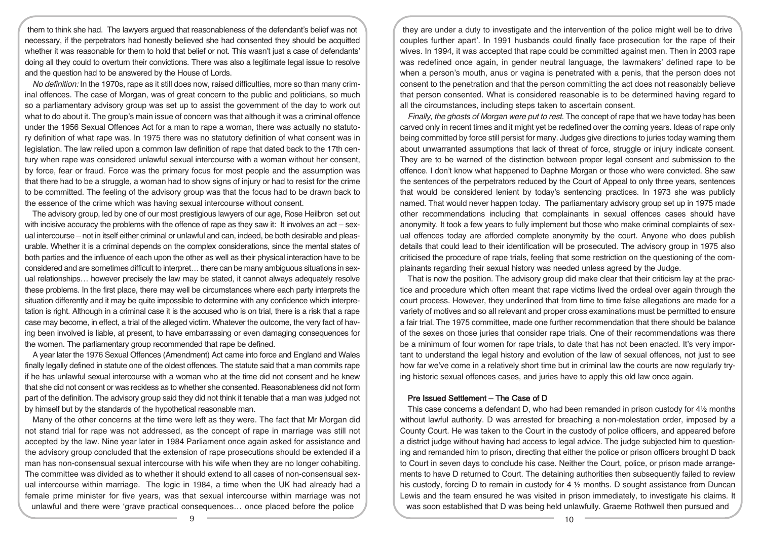them to think she had. The lawyers argued that reasonableness of the defendant's belief was not necessary, if the perpetrators had honestly believed she had consented they should be acquitted whether it was reasonable for them to hold that belief or not. This wasn't just a case of defendants' doing all they could to overturn their convictions. There was also a legitimate legal issue to resolve and the question had to be answered by the House of Lords.

No definition: In the 1970s, rape as it still does now, raised difficulties, more so than many criminal offences. The case of Morgan, was of great concern to the public and politicians, so much so a parliamentary advisory group was set up to assist the government of the day to work out what to do about it. The group's main issue of concern was that although it was a criminal offence under the 1956 Sexual Offences Act for a man to rape a woman, there was actually no statutory definition of what rape was. In 1975 there was no statutory definition of what consent was in legislation. The law relied upon a common law definition of rape that dated back to the 17th century when rape was considered unlawful sexual intercourse with a woman without her consent, by force, fear or fraud. Force was the primary focus for most people and the assumption was that there had to be a struggle, a woman had to show signs of injury or had to resist for the crime to be committed. The feeling of the advisory group was that the focus had to be drawn back to the essence of the crime which was having sexual intercourse without consent.

The advisory group, led by one of our most prestigious lawyers of our age, Rose Heilbron set out with incisive accuracy the problems with the offence of rape as they saw it: It involves an act – sexual intercourse – not in itself either criminal or unlawful and can, indeed, be both desirable and pleasurable. Whether it is a criminal depends on the complex considerations, since the mental states of both parties and the influence of each upon the other as well as their physical interaction have to be considered and are sometimes difficult to interpret… there can be many ambiguous situations in sexual relationships… however precisely the law may be stated, it cannot always adequately resolve these problems. In the first place, there may well be circumstances where each party interprets the situation differently and it may be quite impossible to determine with any confidence which interpretation is right. Although in a criminal case it is the accused who is on trial, there is a risk that a rape case may become, in effect, a trial of the alleged victim. Whatever the outcome, the very fact of having been involved is liable, at present, to have embarrassing or even damaging consequences for the women. The parliamentary group recommended that rape be defined.

A year later the 1976 Sexual Offences (Amendment) Act came into force and England and Wales finally legally defined in statute one of the oldest offences. The statute said that a man commits rape if he has unlawful sexual intercourse with a woman who at the time did not consent and he knew that she did not consent or was reckless as to whether she consented. Reasonableness did not form part of the definition. The advisory group said they did not think it tenable that a man was judged not by himself but by the standards of the hypothetical reasonable man.

Many of the other concerns at the time were left as they were. The fact that Mr Morgan did not stand trial for rape was not addressed, as the concept of rape in marriage was still not accepted by the law. Nine year later in 1984 Parliament once again asked for assistance and the advisory group concluded that the extension of rape prosecutions should be extended if a man has non-consensual sexual intercourse with his wife when they are no longer cohabiting. The committee was divided as to whether it should extend to all cases of non-consensual sexual intercourse within marriage. The logic in 1984, a time when the UK had already had a female prime minister for five years, was that sexual intercourse within marriage was not unlawful and there were 'grave practical consequences… once placed before the police

they are under a duty to investigate and the intervention of the police might well be to drive couples further apart'. In 1991 husbands could finally face prosecution for the rape of their wives. In 1994, it was accepted that rape could be committed against men. Then in 2003 rape was redefined once again, in gender neutral language, the lawmakers' defined rape to be when a person's mouth, anus or vagina is penetrated with a penis, that the person does not consent to the penetration and that the person committing the act does not reasonably believe that person consented. What is considered reasonable is to be determined having regard to all the circumstances, including steps taken to ascertain consent.

Finally, the ghosts of Morgan were put to rest. The concept of rape that we have today has been carved only in recent times and it might yet be redefined over the coming years. Ideas of rape only being committed by force still persist for many. Judges give directions to juries today warning them about unwarranted assumptions that lack of threat of force, struggle or injury indicate consent. They are to be warned of the distinction between proper legal consent and submission to the offence. I don't know what happened to Daphne Morgan or those who were convicted. She saw the sentences of the perpetrators reduced by the Court of Appeal to only three years, sentences that would be considered lenient by today's sentencing practices. In 1973 she was publicly named. That would never happen today. The parliamentary advisory group set up in 1975 made other recommendations including that complainants in sexual offences cases should have anonymity. It took a few years to fully implement but those who make criminal complaints of sexual offences today are afforded complete anonymity by the court. Anyone who does publish details that could lead to their identification will be prosecuted. The advisory group in 1975 also criticised the procedure of rape trials, feeling that some restriction on the questioning of the complainants regarding their sexual history was needed unless agreed by the Judge.

That is now the position. The advisory group did make clear that their criticism lay at the practice and procedure which often meant that rape victims lived the ordeal over again through the court process. However, they underlined that from time to time false allegations are made for a variety of motives and so all relevant and proper cross examinations must be permitted to ensure a fair trial. The 1975 committee, made one further recommendation that there should be balance of the sexes on those juries that consider rape trials. One of their recommendations was there be a minimum of four women for rape trials, to date that has not been enacted. It's very important to understand the legal history and evolution of the law of sexual offences, not just to see how far we've come in a relatively short time but in criminal law the courts are now regularly trying historic sexual offences cases, and juries have to apply this old law once again.

## Pre Issued Settlement – The Case of D

This case concerns a defendant D, who had been remanded in prison custody for 4½ months without lawful authority. D was arrested for breaching a non-molestation order, imposed by a County Court. He was taken to the Court in the custody of police officers, and appeared before a district judge without having had access to legal advice. The judge subjected him to questioning and remanded him to prison, directing that either the police or prison officers brought D back to Court in seven days to conclude his case. Neither the Court, police, or prison made arrangements to have D returned to Court. The detaining authorities then subsequently failed to review his custody, forcing D to remain in custody for 4  $\frac{1}{2}$  months. D sought assistance from Duncan Lewis and the team ensured he was visited in prison immediately, to investigate his claims. It was soon established that D was being held unlawfully. Graeme Rothwell then pursued and